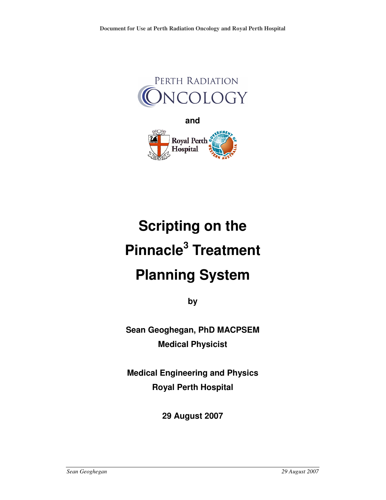



# **Scripting on the Pinnacle<sup>3</sup> Treatment Planning System**

**by** 

**Sean Geoghegan, PhD MACPSEM Medical Physicist** 

**Medical Engineering and Physics Royal Perth Hospital** 

**29 August 2007**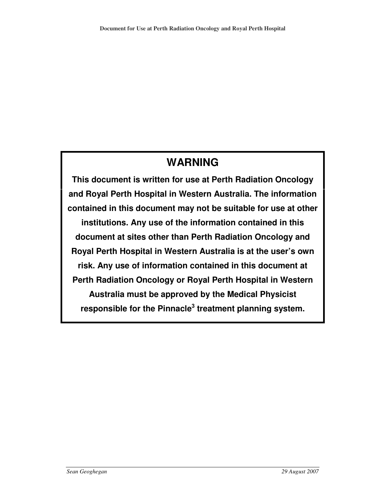# **WARNING**

**This document is written for use at Perth Radiation Oncology and Royal Perth Hospital in Western Australia. The information contained in this document may not be suitable for use at other institutions. Any use of the information contained in this document at sites other than Perth Radiation Oncology and Royal Perth Hospital in Western Australia is at the user's own risk. Any use of information contained in this document at Perth Radiation Oncology or Royal Perth Hospital in Western Australia must be approved by the Medical Physicist responsible for the Pinnacle<sup>3</sup> treatment planning system.**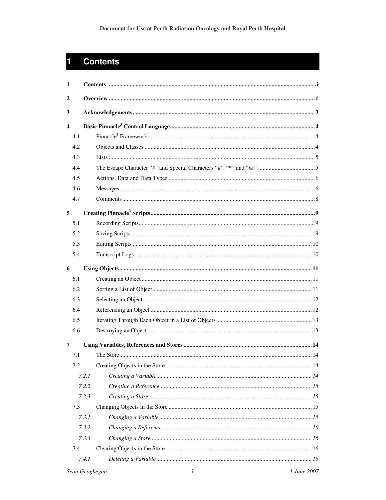# **Contents**

 $\mathbf{1}$ 

| 1                       |     |       |  |
|-------------------------|-----|-------|--|
| 2                       |     |       |  |
| 3                       |     |       |  |
| $\overline{\mathbf{4}}$ |     |       |  |
|                         | 4.1 |       |  |
|                         | 4.2 |       |  |
|                         | 4.3 |       |  |
|                         | 4.4 |       |  |
|                         | 4.5 |       |  |
|                         | 4.6 |       |  |
|                         | 4.7 |       |  |
| 5                       |     |       |  |
|                         | 5.1 |       |  |
|                         | 5.2 |       |  |
|                         | 5.3 |       |  |
|                         | 5.4 |       |  |
| 6                       |     |       |  |
|                         | 6.1 |       |  |
|                         | 6.2 |       |  |
|                         | 6.3 |       |  |
|                         | 6.4 |       |  |
|                         | 6.5 |       |  |
|                         | 6.6 |       |  |
| $\overline{7}$          |     |       |  |
|                         | 7.1 |       |  |
|                         | 7.2 |       |  |
|                         |     | 7.2.1 |  |
|                         |     | 7.2.2 |  |
|                         |     | 7.2.3 |  |
|                         | 7.3 |       |  |
|                         |     | 7.3.1 |  |
|                         |     | 7.3.2 |  |
|                         |     | 7.3.3 |  |
|                         | 7.4 |       |  |
|                         |     | 7.4.1 |  |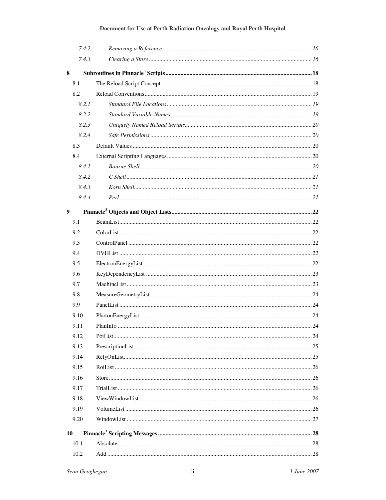|    | 7.4.2 |  |
|----|-------|--|
|    | 7.4.3 |  |
| 8  |       |  |
|    | 8.1   |  |
|    | 8.2   |  |
|    | 8.2.1 |  |
|    | 8.2.2 |  |
|    | 8.2.3 |  |
|    | 8.2.4 |  |
|    | 8.3   |  |
|    | 8.4   |  |
|    | 8.4.1 |  |
|    | 8.4.2 |  |
|    | 8.4.3 |  |
|    | 8.4.4 |  |
| 9  |       |  |
|    | 9.1   |  |
|    | 9.2   |  |
|    | 9.3   |  |
|    | 9.4   |  |
|    | 9.5   |  |
|    | 9.6   |  |
|    | 9.7   |  |
|    | 9.8   |  |
|    | 9.9   |  |
|    | 9.10  |  |
|    | 9.11  |  |
|    | 9.12  |  |
|    | 9.13  |  |
|    | 9.14  |  |
|    | 9.15  |  |
|    | 9.16  |  |
|    | 9.17  |  |
|    | 9.18  |  |
|    | 9.19  |  |
|    | 9.20  |  |
| 10 |       |  |
|    | 10.1  |  |
|    | 10.2  |  |
|    |       |  |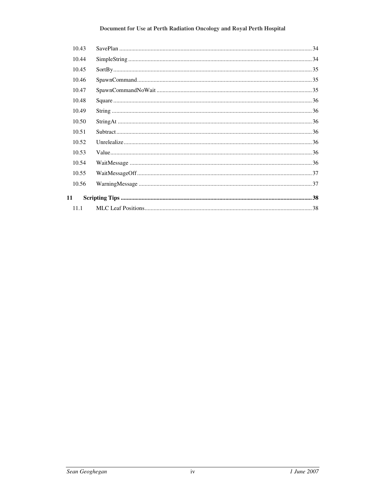| 10.43 |  |
|-------|--|
| 10.44 |  |
| 10.45 |  |
| 10.46 |  |
| 10.47 |  |
| 10.48 |  |
| 10.49 |  |
| 10.50 |  |
| 10.51 |  |
| 10.52 |  |
| 10.53 |  |
| 10.54 |  |
| 10.55 |  |
| 10.56 |  |
| 11    |  |
| 11.1  |  |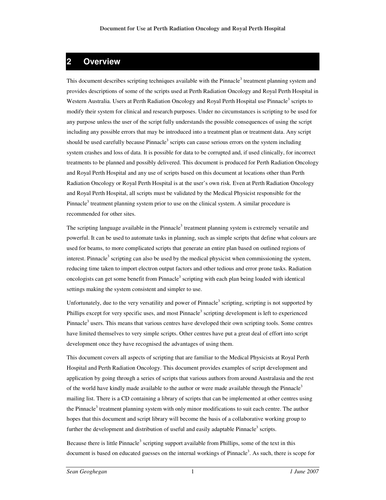# **2 Overview**

This document describes scripting techniques available with the Pinnacle<sup>3</sup> treatment planning system and provides descriptions of some of the scripts used at Perth Radiation Oncology and Royal Perth Hospital in Western Australia. Users at Perth Radiation Oncology and Royal Perth Hospital use Pinnacle<sup>3</sup> scripts to modify their system for clinical and research purposes. Under no circumstances is scripting to be used for any purpose unless the user of the script fully understands the possible consequences of using the script including any possible errors that may be introduced into a treatment plan or treatment data. Any script should be used carefully because Pinnacle<sup>3</sup> scripts can cause serious errors on the system including system crashes and loss of data. It is possible for data to be corrupted and, if used clinically, for incorrect treatments to be planned and possibly delivered. This document is produced for Perth Radiation Oncology and Royal Perth Hospital and any use of scripts based on this document at locations other than Perth Radiation Oncology or Royal Perth Hospital is at the user's own risk. Even at Perth Radiation Oncology and Royal Perth Hospital, all scripts must be validated by the Medical Physicist responsible for the Pinnacle<sup>3</sup> treatment planning system prior to use on the clinical system. A similar procedure is recommended for other sites.

The scripting language available in the Pinnacle<sup>3</sup> treatment planning system is extremely versatile and powerful. It can be used to automate tasks in planning, such as simple scripts that define what colours are used for beams, to more complicated scripts that generate an entire plan based on outlined regions of interest. Pinnacle<sup>3</sup> scripting can also be used by the medical physicist when commissioning the system, reducing time taken to import electron output factors and other tedious and error prone tasks. Radiation oncologists can get some benefit from Pinnacle<sup>3</sup> scripting with each plan being loaded with identical settings making the system consistent and simpler to use.

Unfortunately, due to the very versatility and power of Pinnacle<sup>3</sup> scripting, scripting is not supported by Phillips except for very specific uses, and most Pinnacle<sup>3</sup> scripting development is left to experienced Pinnacle<sup>3</sup> users. This means that various centres have developed their own scripting tools. Some centres have limited themselves to very simple scripts. Other centres have put a great deal of effort into script development once they have recognised the advantages of using them.

This document covers all aspects of scripting that are familiar to the Medical Physicists at Royal Perth Hospital and Perth Radiation Oncology. This document provides examples of script development and application by going through a series of scripts that various authors from around Australasia and the rest of the world have kindly made available to the author or were made available through the Pinnacle<sup>3</sup> mailing list. There is a CD containing a library of scripts that can be implemented at other centres using the Pinnacle<sup>3</sup> treatment planning system with only minor modifications to suit each centre. The author hopes that this document and script library will become the basis of a collaborative working group to further the development and distribution of useful and easily adaptable Pinnacle<sup>3</sup> scripts.

Because there is little Pinnacle<sup>3</sup> scripting support available from Phillips, some of the text in this document is based on educated guesses on the internal workings of Pinnacle<sup>3</sup>. As such, there is scope for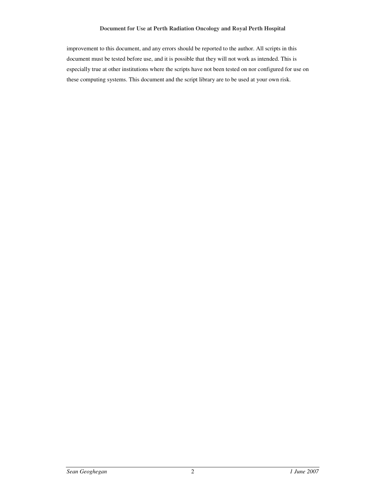improvement to this document, and any errors should be reported to the author. All scripts in this document must be tested before use, and it is possible that they will not work as intended. This is especially true at other institutions where the scripts have not been tested on nor configured for use on these computing systems. This document and the script library are to be used at your own risk.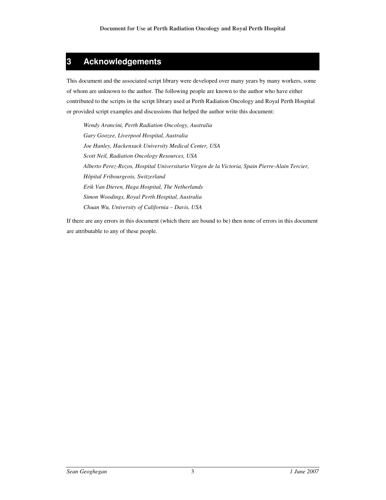# **3 Acknowledgements**

This document and the associated script library were developed over many years by many workers, some of whom are unknown to the author. The following people are known to the author who have either contributed to the scripts in the script library used at Perth Radiation Oncology and Royal Perth Hospital or provided script examples and discussions that helped the author write this document:

*Wendy Arancini, Perth Radiation Oncology, Australia Gary Goozee, Liverpool Hospital, Australia Joe Hanley, Hackensack University Medical Center, USA Scott Neil, Radiation Oncology Resources, USA Alberto Perez-Rozos, Hospital Universitario Virgen de la Victoria, Spain Pierre-Alain Tercier, Hôpital Fribourgeois, Switzerland Erik Van Dieren, Haga Hospital, The Netherlands Simon Woodings, Royal Perth Hospital, Australia Chuan Wu, University of California – Davis, USA* 

If there are any errors in this document (which there are bound to be) then none of errors in this document are attributable to any of these people.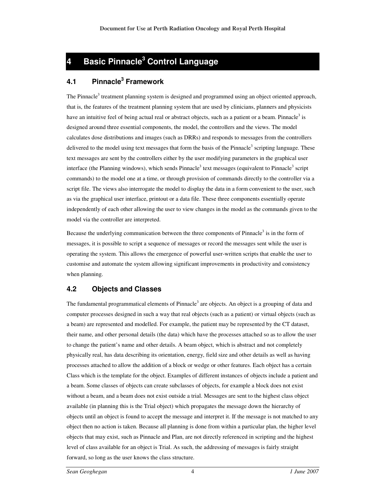# **4 Basic Pinnacle<sup>3</sup> Control Language**

# **4.1 Pinnacle<sup>3</sup> Framework**

The Pinnacle<sup>3</sup> treatment planning system is designed and programmed using an object oriented approach, that is, the features of the treatment planning system that are used by clinicians, planners and physicists have an intuitive feel of being actual real or abstract objects, such as a patient or a beam. Pinnacle<sup>3</sup> is designed around three essential components, the model, the controllers and the views. The model calculates dose distributions and images (such as DRRs) and responds to messages from the controllers delivered to the model using text messages that form the basis of the Pinnacle<sup>3</sup> scripting language. These text messages are sent by the controllers either by the user modifying parameters in the graphical user interface (the Planning windows), which sends Pinnacle<sup>3</sup> text messages (equivalent to Pinnacle<sup>3</sup> script commands) to the model one at a time, or through provision of commands directly to the controller via a script file. The views also interrogate the model to display the data in a form convenient to the user, such as via the graphical user interface, printout or a data file. These three components essentially operate independently of each other allowing the user to view changes in the model as the commands given to the model via the controller are interpreted.

Because the underlying communication between the three components of Pinnacle<sup>3</sup> is in the form of messages, it is possible to script a sequence of messages or record the messages sent while the user is operating the system. This allows the emergence of powerful user-written scripts that enable the user to customise and automate the system allowing significant improvements in productivity and consistency when planning.

# **4.2 Objects and Classes**

The fundamental programmatical elements of Pinnacle<sup>3</sup> are objects. An object is a grouping of data and computer processes designed in such a way that real objects (such as a patient) or virtual objects (such as a beam) are represented and modelled. For example, the patient may be represented by the CT dataset, their name, and other personal details (the data) which have the processes attached so as to allow the user to change the patient's name and other details. A beam object, which is abstract and not completely physically real, has data describing its orientation, energy, field size and other details as well as having processes attached to allow the addition of a block or wedge or other features. Each object has a certain Class which is the template for the object. Examples of different instances of objects include a patient and a beam. Some classes of objects can create subclasses of objects, for example a block does not exist without a beam, and a beam does not exist outside a trial. Messages are sent to the highest class object available (in planning this is the Trial object) which propagates the message down the hierarchy of objects until an object is found to accept the message and interpret it. If the message is not matched to any object then no action is taken. Because all planning is done from within a particular plan, the higher level objects that may exist, such as Pinnacle and Plan, are not directly referenced in scripting and the highest level of class available for an object is Trial. As such, the addressing of messages is fairly straight forward, so long as the user knows the class structure.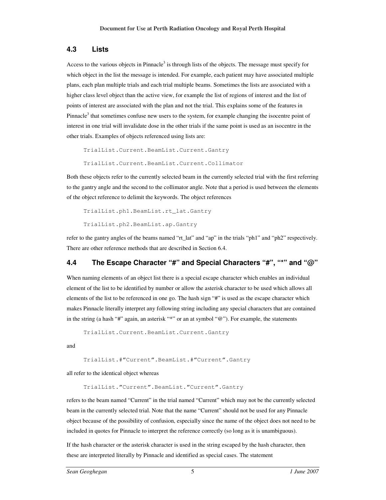#### **4.3 Lists**

Access to the various objects in Pinnacle<sup>3</sup> is through lists of the objects. The message must specify for which object in the list the message is intended. For example, each patient may have associated multiple plans, each plan multiple trials and each trial multiple beams. Sometimes the lists are associated with a higher class level object than the active view, for example the list of regions of interest and the list of points of interest are associated with the plan and not the trial. This explains some of the features in Pinnacle<sup>3</sup> that sometimes confuse new users to the system, for example changing the isocentre point of interest in one trial will invalidate dose in the other trials if the same point is used as an isocentre in the other trials. Examples of objects referenced using lists are:

TrialList.Current.BeamList.Current.Gantry

TrialList.Current.BeamList.Current.Collimator

Both these objects refer to the currently selected beam in the currently selected trial with the first referring to the gantry angle and the second to the collimator angle. Note that a period is used between the elements of the object reference to delimit the keywords. The object references

```
TrialList.ph1.BeamList.rt_lat.Gantry 
TrialList.ph2.BeamList.ap.Gantry
```
refer to the gantry angles of the beams named "rt\_lat" and "ap" in the trials "ph1" and "ph2" respectively. There are other reference methods that are described in Section 6.4.

# **4.4 The Escape Character "#" and Special Characters "#", "\*" and "@"**

When naming elements of an object list there is a special escape character which enables an individual element of the list to be identified by number or allow the asterisk character to be used which allows all elements of the list to be referenced in one go. The hash sign "#" is used as the escape character which makes Pinnacle literally interpret any following string including any special characters that are contained in the string (a hash "#" again, an asterisk "\*" or an at symbol "@"). For example, the statements

TrialList.Current.BeamList.Current.Gantry

and

```
TrialList.#"Current".BeamList.#"Current".Gantry
```
all refer to the identical object whereas

TrialList."Current".BeamList."Current".Gantry

refers to the beam named "Current" in the trial named "Current" which may not be the currently selected beam in the currently selected trial. Note that the name "Current" should not be used for any Pinnacle object because of the possibility of confusion, especially since the name of the object does not need to be included in quotes for Pinnacle to interpret the reference correctly (so long as it is unambiguous).

If the hash character or the asterisk character is used in the string escaped by the hash character, then these are interpreted literally by Pinnacle and identified as special cases. The statement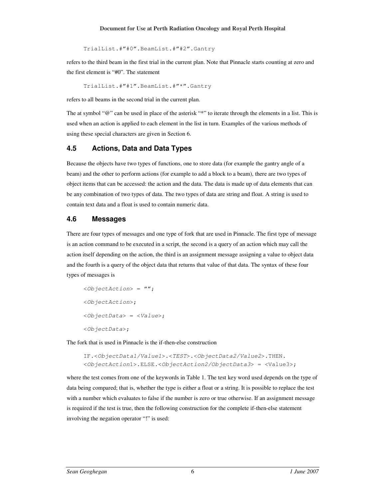TrialList.#"#0".BeamList.#"#2".Gantry

refers to the third beam in the first trial in the current plan. Note that Pinnacle starts counting at zero and the first element is "#0". The statement

TrialList.#"#1".BeamList.#"\*".Gantry

refers to all beams in the second trial in the current plan.

The at symbol "@" can be used in place of the asterisk "\*" to iterate through the elements in a list. This is used when an action is applied to each element in the list in turn. Examples of the various methods of using these special characters are given in Section 6.

#### **4.5 Actions, Data and Data Types**

Because the objects have two types of functions, one to store data (for example the gantry angle of a beam) and the other to perform actions (for example to add a block to a beam), there are two types of object items that can be accessed: the action and the data. The data is made up of data elements that can be any combination of two types of data. The two types of data are string and float. A string is used to contain text data and a float is used to contain numeric data.

# **4.6 Messages**

There are four types of messages and one type of fork that are used in Pinnacle. The first type of message is an action command to be executed in a script, the second is a query of an action which may call the action itself depending on the action, the third is an assignment message assigning a value to object data and the fourth is a query of the object data that returns that value of that data. The syntax of these four types of messages is

```
\langleObjectAction> = "";
<ObjectAction>; 
<ObjectData> = <Value>; 
<ObjectData>;
```
The fork that is used in Pinnacle is the if-then-else construction

```
IF.<ObjectData1/Value1>.<TEST>.<ObjectData2/Value2>.THEN. 
<ObjectAction1>.ELSE.<ObjectAction2/ObjectData3> = <Value3>;
```
where the test comes from one of the keywords in Table 1. The test key word used depends on the type of data being compared; that is, whether the type is either a float or a string. It is possible to replace the test with a number which evaluates to false if the number is zero or true otherwise. If an assignment message is required if the test is true, then the following construction for the complete if-then-else statement involving the negation operator "!" is used: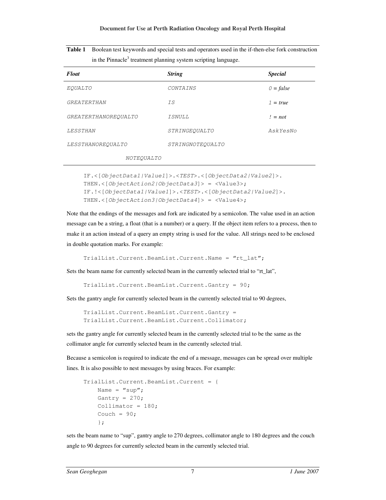| <b>Table 1</b> Boolean test keywords and special tests and operators used in the if-then-else fork construction |
|-----------------------------------------------------------------------------------------------------------------|
| in the Pinnacle <sup>3</sup> treatment planning system scripting language.                                      |

| <b>Float</b>                | <b>String</b>    | <b>Special</b> |
|-----------------------------|------------------|----------------|
| EOUALTO                     | CONTAINS         | $0 = false$    |
| <i><b>GREATERTHAN</b></i>   | T.S              | $1 = true$     |
| <i>GREATERTHANOREOUALTO</i> | T SNULL          | $l = not$      |
| LESSTHAN                    | STRINGEOUALTO    | AskYesNo       |
| LESSTHANOREOUALTO           | STRINGNOTEOUALTO |                |
| NOTEOUALTO                  |                  |                |

```
IF.<[ObjectData1|Value1]>.<TEST>.<[ObjectData2|Value2]>. 
THEN.<[ObjectAction2|ObjectData3]> = <Value3>; 
IF.!<[ObjectData1|Value1]>.<TEST>.<[ObjectData2|Value2]>. 
THEN.\langle[ObjectAction3|ObjectData4]> = \langleValue4>;
```
Note that the endings of the messages and fork are indicated by a semicolon. The value used in an action message can be a string, a float (that is a number) or a query. If the object item refers to a process, then to make it an action instead of a query an empty string is used for the value. All strings need to be enclosed in double quotation marks. For example:

```
TrialList.Current.BeamList.Current.Name = "rt_lat";
```
Sets the beam name for currently selected beam in the currently selected trial to "rt\_lat",

TrialList.Current.BeamList.Current.Gantry = 90;

Sets the gantry angle for currently selected beam in the currently selected trial to 90 degrees,

```
TrialList.Current.BeamList.Current.Gantry = 
TrialList.Current.BeamList.Current.Collimator;
```
sets the gantry angle for currently selected beam in the currently selected trial to be the same as the collimator angle for currently selected beam in the currently selected trial.

Because a semicolon is required to indicate the end of a message, messages can be spread over multiple lines. It is also possible to nest messages by using braces. For example:

```
TrialList.Current.BeamList.Current = { 
    Name = "sup";
    Gantry = 270;
     Collimator = 180; 
    Couch = 90; };
```
sets the beam name to "sup", gantry angle to 270 degrees, collimator angle to 180 degrees and the couch angle to 90 degrees for currently selected beam in the currently selected trial.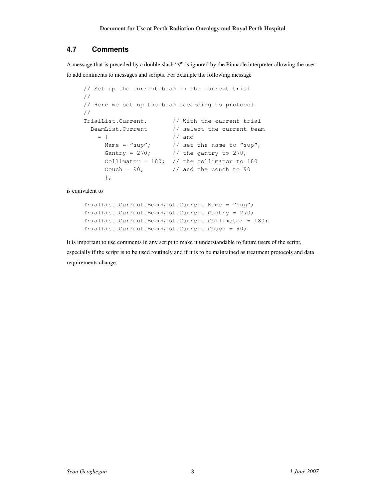# **4.7 Comments**

A message that is preceded by a double slash "//" is ignored by the Pinnacle interpreter allowing the user to add comments to messages and scripts. For example the following message

```
// Set up the current beam in the current trial 
// 
// Here we set up the beam according to protocol 
// 
TrialList.Current. // With the current trial 
  BeamList.Current // select the current beam
   = { // and
     Name = "sup"; // set the name to "sup",
     Gantry = 270; // the gantry to 270,
     Collimator = 180; // the collimator to 180
     Couch = 90; \frac{1}{4} and the couch to 90
      };
```
is equivalent to

```
TrialList.Current.BeamList.Current.Name = "sup"; 
TrialList.Current.BeamList.Current.Gantry = 270; 
TrialList.Current.BeamList.Current.Collimator = 180; 
TrialList.Current.BeamList.Current.Couch = 90;
```
It is important to use comments in any script to make it understandable to future users of the script, especially if the script is to be used routinely and if it is to be maintained as treatment protocols and data requirements change.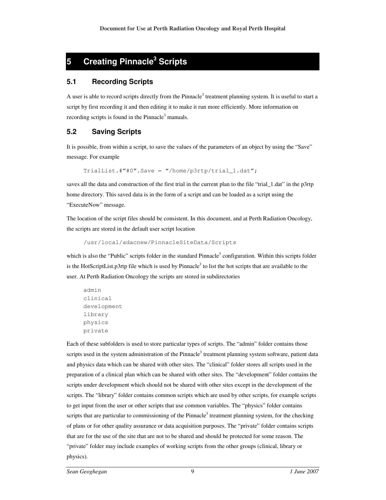# **5 Creating Pinnacle<sup>3</sup> Scripts**

### **5.1 Recording Scripts**

A user is able to record scripts directly from the Pinnacle<sup>3</sup> treatment planning system. It is useful to start a script by first recording it and then editing it to make it run more efficiently. More information on recording scripts is found in the Pinnacle<sup>3</sup> manuals.

# **5.2 Saving Scripts**

It is possible, from within a script, to save the values of the parameters of an object by using the "Save" message. For example

TrialList.#"#0".Save = "/home/p3rtp/trial\_1.dat";

saves all the data and construction of the first trial in the current plan to the file "trial\_1.dat" in the p3rtp home directory. This saved data is in the form of a script and can be loaded as a script using the "ExecuteNow" message.

The location of the script files should be consistent. In this document, and at Perth Radiation Oncology, the scripts are stored in the default user script location

```
/usr/local/adacnew/PinnacleSiteData/Scripts
```
which is also the "Public" scripts folder in the standard Pinnacle<sup>3</sup> configuration. Within this scripts folder is the HotScriptList.p3rtp file which is used by Pinnacle<sup>3</sup> to list the hot scripts that are available to the user. At Perth Radiation Oncology the scripts are stored in subdirectories

```
admin 
clinical 
development 
library 
physics 
private
```
Each of these subfolders is used to store particular types of scripts. The "admin" folder contains those scripts used in the system administration of the Pinnacle<sup>3</sup> treatment planning system software, patient data and physics data which can be shared with other sites. The "clinical" folder stores all scripts used in the preparation of a clinical plan which can be shared with other sites. The "development" folder contains the scripts under development which should not be shared with other sites except in the development of the scripts. The "library" folder contains common scripts which are used by other scripts, for example scripts to get input from the user or other scripts that use common variables. The "physics" folder contains scripts that are particular to commissioning of the Pinnacle<sup>3</sup> treatment planning system, for the checking of plans or for other quality assurance or data acquisition purposes. The "private" folder contains scripts that are for the use of the site that are not to be shared and should be protected for some reason. The "private" folder may include examples of working scripts from the other groups (clinical, library or physics).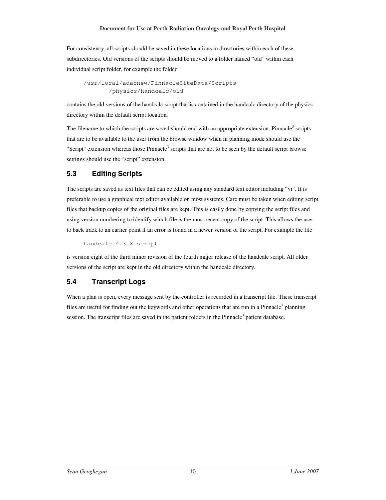For consistency, all scripts should be saved in these locations in directories within each of these subdirectories. Old versions of the scripts should be moved to a folder named "old" within each individual script folder, for example the folder

```
/usr/local/adacnew/PinnacleSiteData/Scripts 
        /physics/handcalc/old
```
contains the old versions of the handcalc script that is contained in the handcalc directory of the physics directory within the default script location.

The filename to which the scripts are saved should end with an appropriate extension. Pinnacle<sup>3</sup> scripts that are to be available to the user from the browse window when in planning mode should use the "Script" extension whereas those  $P$ innacle<sup>3</sup> scripts that are not to be seen by the default script browse settings should use the "script" extension.

# **5.3 Editing Scripts**

The scripts are saved as text files that can be edited using any standard text editor including "vi". It is preferable to use a graphical text editor available on most systems. Care must be taken when editing script files that backup copies of the original files are kept. This is easily done by copying the script files and using version numbering to identify which file is the most recent copy of the script. This allows the user to back track to an earlier point if an error is found in a newer version of the script. For example the file

handcalc.4.3.8.script

is version eight of the third minor revision of the fourth major release of the handcalc script. All older versions of the script are kept in the old directory within the handcalc directory.

# **5.4 Transcript Logs**

When a plan is open, every message sent by the controller is recorded in a transcript file. These transcript files are useful for finding out the keywords and other operations that are run in a Pinnacle<sup>3</sup> planning session. The transcript files are saved in the patient folders in the Pinnacle<sup>3</sup> patient database.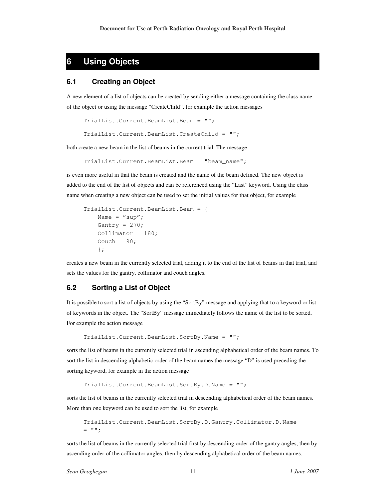# **6 Using Objects**

#### **6.1 Creating an Object**

A new element of a list of objects can be created by sending either a message containing the class name of the object or using the message "CreateChild", for example the action messages

```
TrialList.Current.BeamList.Beam = "";
```

```
TrialList.Current.BeamList.CreateChild = "";
```
both create a new beam in the list of beams in the current trial. The message

```
TrialList.Current.BeamList.Beam = "beam_name";
```
is even more useful in that the beam is created and the name of the beam defined. The new object is added to the end of the list of objects and can be referenced using the "Last" keyword. Using the class name when creating a new object can be used to set the initial values for that object, for example

```
TrialList.Current.BeamList.Beam = { 
    Name = "sup";
    Gantry = 270;
    Collimator = 180;Couch = 90;
     };
```
creates a new beam in the currently selected trial, adding it to the end of the list of beams in that trial, and sets the values for the gantry, collimator and couch angles.

# **6.2 Sorting a List of Object**

It is possible to sort a list of objects by using the "SortBy" message and applying that to a keyword or list of keywords in the object. The "SortBy" message immediately follows the name of the list to be sorted. For example the action message

```
TrialList.Current.BeamList.SortBy.Name = "";
```
sorts the list of beams in the currently selected trial in ascending alphabetical order of the beam names. To sort the list in descending alphabetic order of the beam names the message "D" is used preceding the sorting keyword, for example in the action message

```
TrialList.Current.BeamList.SortBy.D.Name = "";
```
sorts the list of beams in the currently selected trial in descending alphabetical order of the beam names. More than one keyword can be used to sort the list, for example

```
TrialList.Current.BeamList.SortBy.D.Gantry.Collimator.D.Name 
= "";
```
sorts the list of beams in the currently selected trial first by descending order of the gantry angles, then by ascending order of the collimator angles, then by descending alphabetical order of the beam names.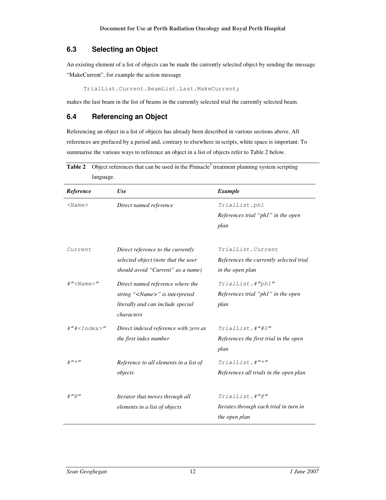# **6.3 Selecting an Object**

An existing element of a list of objects can be made the currently selected object by sending the message "MakeCurrent", for example the action message

TrialList.Current.BeamList.Last.MakeCurrent;

makes the last beam in the list of beams in the currently selected trial the currently selected beam.

#### **6.4 Referencing an Object**

Referencing an object in a list of objects has already been described in various sections above. All references are prefaced by a period and, contrary to elsewhere in scripts, white space is important. To summarise the various ways to reference an object in a list of objects refer to Table 2 below.

| Reference                                     | Use                                    | <b>Example</b>                          |
|-----------------------------------------------|----------------------------------------|-----------------------------------------|
| $<$ Name $>$                                  | Direct named reference                 | TrialList.phl                           |
|                                               |                                        | References trial "ph1" in the open      |
|                                               |                                        | plan                                    |
| Current                                       | Direct reference to the currently      | TrialList.Current                       |
|                                               | selected object (note that the user    | References the currently selected trial |
|                                               | should avoid "Current" as a name)      | in the open plan                        |
| $\#''$ <name>"</name>                         | Direct named reference where the       | TrialList.#"phl"                        |
|                                               | string " <name>" is interpreted</name> | References trial "ph1" in the open      |
|                                               | literally and can include special      | plan                                    |
|                                               | characters                             |                                         |
| $\#''\#$ <index>"</index>                     | Direct indexed reference with zero as  | TrialList.#"#0"                         |
|                                               | the first index number                 | References the first trial in the open  |
|                                               |                                        | plan                                    |
| # $^{\prime\prime}$ $\star$ $^{\prime\prime}$ | Reference to all elements in a list of | TrialList.#"*"                          |
|                                               | objects                                | References all trials in the open plan  |
| $#''$ a"                                      | Iterator that moves through all        | $Trialllist.*''@''$                     |
|                                               | elements in a list of objects          | Iterates through each trial in turn in  |
|                                               |                                        | the open plan                           |

**Table 2** Object references that can be used in the Pinnacle<sup>3</sup> treatment planning system scripting language.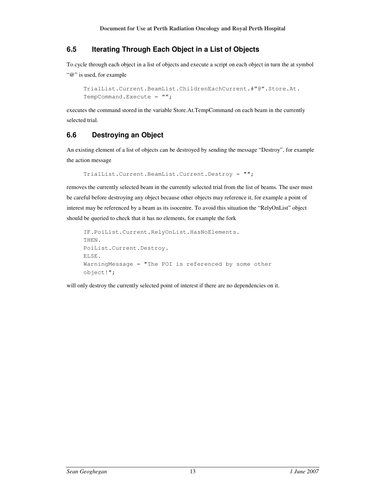# **6.5 Iterating Through Each Object in a List of Objects**

To cycle through each object in a list of objects and execute a script on each object in turn the at symbol "@" is used, for example

```
TrialList.Current.BeamList.ChildrenEachCurrent.#"@".Store.At.
TempCommand.Execute = '''';
```
executes the command stored in the variable Store.At.TempCommand on each beam in the currently selected trial.

# **6.6 Destroying an Object**

An existing element of a list of objects can be destroyed by sending the message "Destroy", for example the action message

```
TrialList.Current.BeamList.Current.Destroy = "";
```
removes the currently selected beam in the currently selected trial from the list of beams. The user must be careful before destroying any object because other objects may reference it, for example a point of interest may be referenced by a beam as its isocentre. To avoid this situation the "RelyOnList" object should be queried to check that it has no elements, for example the fork

```
IF.PoiList.Current.RelyOnList.HasNoElements. 
THEN. 
PoiList.Current.Destroy. 
ELSE. 
WarningMessage = "The POI is referenced by some other 
object!";
```
will only destroy the currently selected point of interest if there are no dependencies on it.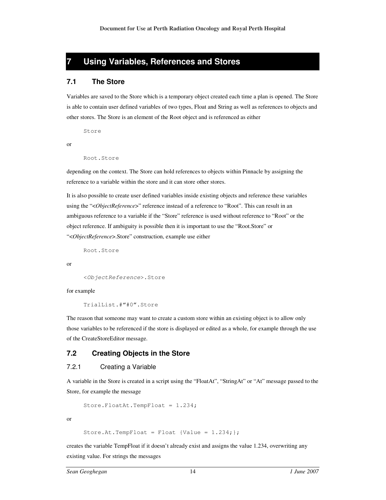# **7 Using Variables, References and Stores**

#### **7.1 The Store**

Variables are saved to the Store which is a temporary object created each time a plan is opened. The Store is able to contain user defined variables of two types, Float and String as well as references to objects and other stores. The Store is an element of the Root object and is referenced as either

Store

or

```
Root.Store
```
depending on the context. The Store can hold references to objects within Pinnacle by assigning the reference to a variable within the store and it can store other stores.

It is also possible to create user defined variables inside existing objects and reference these variables using the "<*ObjectReference*>" reference instead of a reference to "Root". This can result in an ambiguous reference to a variable if the "Store" reference is used without reference to "Root" or the object reference. If ambiguity is possible then it is important to use the "Root.Store" or "<*ObjectReference*>.Store" construction, example use either

```
Root.Store
```
or

```
<ObjectReference>.Store
```
for example

TrialList.#"#0".Store

The reason that someone may want to create a custom store within an existing object is to allow only those variables to be referenced if the store is displayed or edited as a whole, for example through the use of the CreateStoreEditor message.

#### **7.2 Creating Objects in the Store**

#### 7.2.1 Creating a Variable

A variable in the Store is created in a script using the "FloatAt", "StringAt" or "At" message passed to the Store, for example the message

```
Store.FloatAt.TempFloat = 1.234;
```
or

```
Store.At.TempFloat = Float {Value = 1.234; };
```
creates the variable TempFloat if it doesn't already exist and assigns the value 1.234, overwriting any existing value. For strings the messages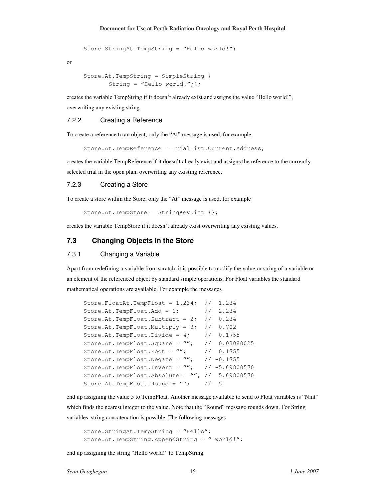```
Store.StringAt.TempString = "Hello world!";
```
or

```
Store.At.TempString = SimpleString { 
       String = "Hello world!"; };
```
creates the variable TempString if it doesn't already exist and assigns the value "Hello world!", overwriting any existing string.

#### 7.2.2 Creating a Reference

To create a reference to an object, only the "At" message is used, for example

Store.At.TempReference = TrialList.Current.Address;

creates the variable TempReference if it doesn't already exist and assigns the reference to the currently selected trial in the open plan, overwriting any existing reference.

#### 7.2.3 Creating a Store

To create a store within the Store, only the "At" message is used, for example

Store.At.TempStore = StringKeyDict {};

creates the variable TempStore if it doesn't already exist overwriting any existing values.

#### **7.3 Changing Objects in the Store**

#### 7.3.1 Changing a Variable

Apart from redefining a variable from scratch, it is possible to modify the value or string of a variable or an element of the referenced object by standard simple operations. For Float variables the standard mathematical operations are available. For example the messages

```
Store.FloatAt.TempFloat = 1.234; // 1.234Store.At.TempFloat.Add = 1; // 2.234
Store.At.TempFloat.Subtract = 2; // 0.234 
Store.At.TempFloat.Multiply = 3; // 0.702 
Store.At.TempFloat.Divide = 4; // 0.1755
Store.At.TempFloat.Square = '''; // 0.03080025
Store.At.TempFloat.Root = ''''; // 0.1755
Store.At.TempFloat.Negate = ''''; //-0.1755
Store.At.TempFloat.Invert = ''''; //-5.69800570
Store.At.TempFloat.Absolute = '''; // 5.69800570
Store.At.TempFloat.Round = ''''; // 5
```
end up assigning the value 5 to TempFloat. Another message available to send to Float variables is "Nint" which finds the nearest integer to the value. Note that the "Round" message rounds down. For String variables, string concatenation is possible. The following messages

```
Store.StringAt.TempString = "Hello"; 
Store.At.TempString.AppendString = " world!";
```
end up assigning the string "Hello world!" to TempString.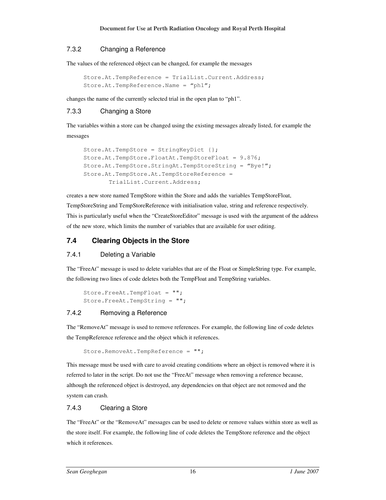#### 7.3.2 Changing a Reference

The values of the referenced object can be changed, for example the messages

```
Store.At.TempReference = TrialList.Current.Address;
Store.At.TempReference.Name = "ph1";
```
changes the name of the currently selected trial in the open plan to "ph1".

# 7.3.3 Changing a Store

The variables within a store can be changed using the existing messages already listed, for example the messages

```
Store.At.TempStore = StringKeyDict {}; 
Store.At.TempStore.FloatAt.TempStoreFloat = 9.876; 
Store.At.TempStore.StringAt.TempStoreString = "Bye!"; 
Store.At.TempStore.At.TempStoreReference = 
        TrialList.Current.Address;
```
creates a new store named TempStore within the Store and adds the variables TempStoreFloat, TempStoreString and TempStoreReference with initialisation value, string and reference respectively. This is particularly useful when the "CreateStoreEditor" message is used with the argument of the address of the new store, which limits the number of variables that are available for user editing.

# **7.4 Clearing Objects in the Store**

#### 7.4.1 Deleting a Variable

The "FreeAt" message is used to delete variables that are of the Float or SimpleString type. For example, the following two lines of code deletes both the TempFloat and TempString variables.

```
Store.FreeAt.TempFloat = "";
Store.FreeAt.TempString = "";
```
#### 7.4.2 Removing a Reference

The "RemoveAt" message is used to remove references. For example, the following line of code deletes the TempReference reference and the object which it references.

```
Store.RemoveAt.TempReference = "";
```
This message must be used with care to avoid creating conditions where an object is removed where it is referred to later in the script. Do not use the "FreeAt" message when removing a reference because, although the referenced object is destroyed, any dependencies on that object are not removed and the system can crash.

#### 7.4.3 Clearing a Store

The "FreeAt" or the "RemoveAt" messages can be used to delete or remove values within store as well as the store itself. For example, the following line of code deletes the TempStore reference and the object which it references.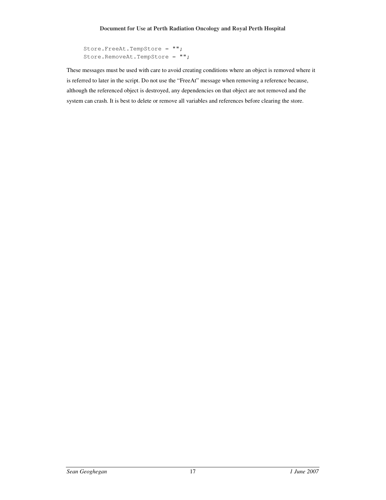```
Store.FreeAt.TempStore = ""; 
Store.RemoveAt.TempStore = "";
```
These messages must be used with care to avoid creating conditions where an object is removed where it is referred to later in the script. Do not use the "FreeAt" message when removing a reference because, although the referenced object is destroyed, any dependencies on that object are not removed and the system can crash. It is best to delete or remove all variables and references before clearing the store.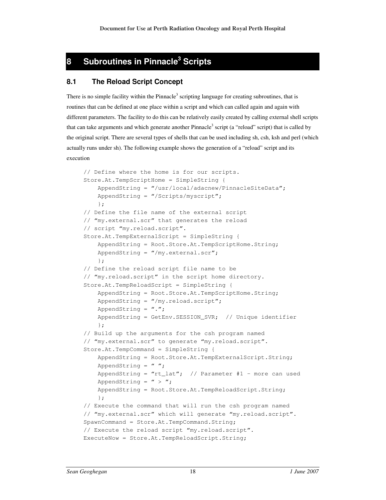# **8 Subroutines in Pinnacle<sup>3</sup> Scripts**

# **8.1 The Reload Script Concept**

There is no simple facility within the Pinnacle<sup>3</sup> scripting language for creating subroutines, that is routines that can be defined at one place within a script and which can called again and again with different parameters. The facility to do this can be relatively easily created by calling external shell scripts that can take arguments and which generate another Pinnacle<sup>3</sup> script (a "reload" script) that is called by the original script. There are several types of shells that can be used including sh, csh, ksh and perl (which actually runs under sh). The following example shows the generation of a "reload" script and its execution

```
// Define where the home is for our scripts. 
Store.At.TempScriptHome = SimpleString { 
     AppendString = "/usr/local/adacnew/PinnacleSiteData"; 
     AppendString = "/Scripts/myscript"; 
     }; 
// Define the file name of the external script 
// "my.external.scr" that generates the reload
// script "my.reload.script". 
Store.At.TempExternalScript = SimpleString { 
     AppendString = Root.Store.At.TempScriptHome.String; 
     AppendString = "/my.external.scr"; 
     }; 
// Define the reload script file name to be 
// "my.reload.script" in the script home directory.
Store.At.TempReloadScript = SimpleString { 
     AppendString = Root.Store.At.TempScriptHome.String; 
    AppendString = ''/my.read.sort";
    AppendString = ".";
     AppendString = GetEnv.SESSION_SVR; // Unique identifier 
     }; 
// Build up the arguments for the csh program named
// "my.external.scr" to generate "my.reload.script". 
Store.At.TempCommand = SimpleString { 
     AppendString = Root.Store.At.TempExternalScript.String; 
    AppendString = " ";
    AppendString = "rt_l at"; // Parameter #1 - more can used
    AppendString = " > ";
     AppendString = Root.Store.At.TempReloadScript.String; 
     }; 
// Execute the command that will run the csh program named 
// "my.external.scr" which will generate "my.reload.script".
SpawnCommand = Store.At.TempCommand.String; 
// Execute the reload script "my.reload.script". 
ExecuteNow = Store.At.TempReloadScript.String;
```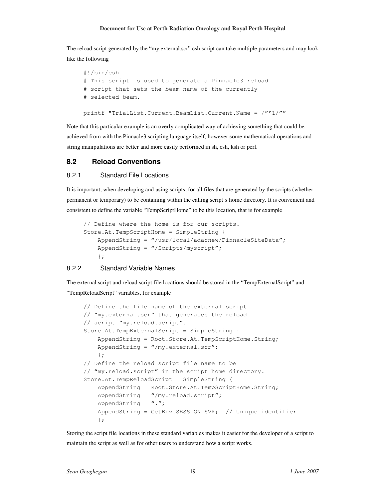The reload script generated by the "my.external.scr" csh script can take multiple parameters and may look like the following

```
#!/bin/csh 
# This script is used to generate a Pinnacle3 reload 
# script that sets the beam name of the currently 
# selected beam. 
printf "TrialList.Current.BeamList.Current.Name = /"$1/""
```
Note that this particular example is an overly complicated way of achieving something that could be achieved from with the Pinnacle3 scripting language itself, however some mathematical operations and string manipulations are better and more easily performed in sh, csh, ksh or perl.

# **8.2 Reload Conventions**

#### 8.2.1 Standard File Locations

It is important, when developing and using scripts, for all files that are generated by the scripts (whether permanent or temporary) to be containing within the calling script's home directory. It is convenient and consistent to define the variable "TempScriptHome" to be this location, that is for example

```
// Define where the home is for our scripts. 
Store.At.TempScriptHome = SimpleString { 
     AppendString = "/usr/local/adacnew/PinnacleSiteData"; 
     AppendString = "/Scripts/myscript"; 
     };
```
# 8.2.2 Standard Variable Names

The external script and reload script file locations should be stored in the "TempExternalScript" and "TempReloadScript" variables, for example

```
// Define the file name of the external script 
// "my.external.scr" that generates the reload 
// script "my.reload.script". 
Store.At.TempExternalScript = SimpleString { 
     AppendString = Root.Store.At.TempScriptHome.String; 
    AppendString = "/my.external.scr";
     }; 
// Define the reload script file name to be 
// "my.reload.script" in the script home directory.
Store.At.TempReloadScript = SimpleString { 
     AppendString = Root.Store.At.TempScriptHome.String; 
    AppendString = "/my.read.sort";AppendString = ".";
     AppendString = GetEnv.SESSION_SVR; // Unique identifier 
     };
```
Storing the script file locations in these standard variables makes it easier for the developer of a script to maintain the script as well as for other users to understand how a script works.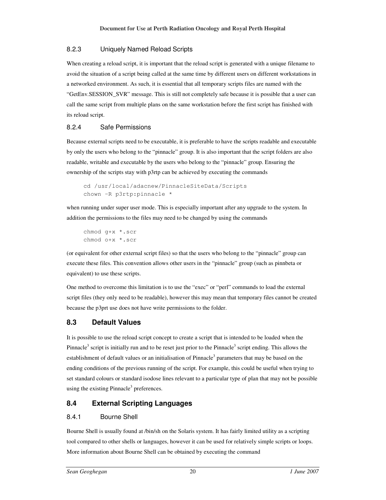#### 8.2.3 Uniquely Named Reload Scripts

When creating a reload script, it is important that the reload script is generated with a unique filename to avoid the situation of a script being called at the same time by different users on different workstations in a networked environment. As such, it is essential that all temporary scripts files are named with the "GetEnv.SESSION\_SVR" message. This is still not completely safe because it is possible that a user can call the same script from multiple plans on the same workstation before the first script has finished with its reload script.

# 8.2.4 Safe Permissions

Because external scripts need to be executable, it is preferable to have the scripts readable and executable by only the users who belong to the "pinnacle" group. It is also important that the script folders are also readable, writable and executable by the users who belong to the "pinnacle" group. Ensuring the ownership of the scripts stay with p3rtp can be achieved by executing the commands

```
cd /usr/local/adacnew/PinnacleSiteData/Scripts 
chown –R p3rtp:pinnacle *
```
when running under super user mode. This is especially important after any upgrade to the system. In addition the permissions to the files may need to be changed by using the commands

chmod g+x \*.scr chmod o+x \*.scr

(or equivalent for other external script files) so that the users who belong to the "pinnacle" group can execute these files. This convention allows other users in the "pinnacle" group (such as pinnbeta or equivalent) to use these scripts.

One method to overcome this limitation is to use the "exec" or "perl" commands to load the external script files (they only need to be readable), however this may mean that temporary files cannot be created because the p3prt use does not have write permissions to the folder.

# **8.3 Default Values**

It is possible to use the reload script concept to create a script that is intended to be loaded when the Pinnacle<sup>3</sup> script is initially run and to be reset just prior to the Pinnacle<sup>3</sup> script ending. This allows the establishment of default values or an initialisation of Pinnacle<sup>3</sup> parameters that may be based on the ending conditions of the previous running of the script. For example, this could be useful when trying to set standard colours or standard isodose lines relevant to a particular type of plan that may not be possible using the existing Pinnacle<sup>3</sup> preferences.

# **8.4 External Scripting Languages**

# 8.4.1 Bourne Shell

Bourne Shell is usually found at /bin/sh on the Solaris system. It has fairly limited utility as a scripting tool compared to other shells or languages, however it can be used for relatively simple scripts or loops. More information about Bourne Shell can be obtained by executing the command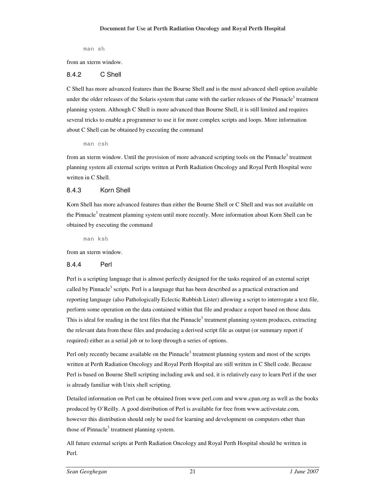man sh

from an xterm window.

#### 8.4.2 C Shell

C Shell has more advanced features than the Bourne Shell and is the most advanced shell option available under the older releases of the Solaris system that came with the earlier releases of the Pinnacle<sup>3</sup> treatment planning system. Although C Shell is more advanced than Bourne Shell, it is still limited and requires several tricks to enable a programmer to use it for more complex scripts and loops. More information about C Shell can be obtained by executing the command

man csh

from an xterm window. Until the provision of more advanced scripting tools on the Pinnacle<sup>3</sup> treatment planning system all external scripts written at Perth Radiation Oncology and Royal Perth Hospital were written in C Shell.

#### 8.4.3 Korn Shell

Korn Shell has more advanced features than either the Bourne Shell or C Shell and was not available on the Pinnacle<sup>3</sup> treatment planning system until more recently. More information about Korn Shell can be obtained by executing the command

man ksh

from an xterm window.

#### 8.4.4 Perl

Perl is a scripting language that is almost perfectly designed for the tasks required of an external script called by Pinnacle<sup>3</sup> scripts. Perl is a language that has been described as a practical extraction and reporting language (also Pathologically Eclectic Rubbish Lister) allowing a script to interrogate a text file, perform some operation on the data contained within that file and produce a report based on those data. This is ideal for reading in the text files that the Pinnacle<sup>3</sup> treatment planning system produces, extracting the relevant data from these files and producing a derived script file as output (or summary report if required) either as a serial job or to loop through a series of options.

Perl only recently became available on the Pinnacle<sup>3</sup> treatment planning system and most of the scripts written at Perth Radiation Oncology and Royal Perth Hospital are still written in C Shell code. Because Perl is based on Bourne Shell scripting including awk and sed, it is relatively easy to learn Perl if the user is already familiar with Unix shell scripting.

Detailed information on Perl can be obtained from www.perl.com and www.cpan.org as well as the books produced by O'Reilly. A good distribution of Perl is available for free from www.activestate.com, however this distribution should only be used for learning and development on computers other than those of Pinnacle<sup>3</sup> treatment planning system.

All future external scripts at Perth Radiation Oncology and Royal Perth Hospital should be written in Perl.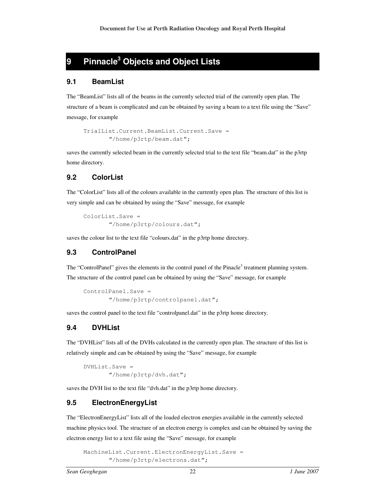# **9 Pinnacle<sup>3</sup> Objects and Object Lists**

#### **9.1 BeamList**

The "BeamList" lists all of the beams in the currently selected trial of the currently open plan. The structure of a beam is complicated and can be obtained by saving a beam to a text file using the "Save" message, for example

```
TrialList.Current.BeamList.Current.Save = 
        "/home/p3rtp/beam.dat";
```
saves the currently selected beam in the currently selected trial to the text file "beam.dat" in the p3rtp home directory.

# **9.2 ColorList**

The "ColorList" lists all of the colours available in the currently open plan. The structure of this list is very simple and can be obtained by using the "Save" message, for example

```
ColorList.Save = 
        "/home/p3rtp/colours.dat";
```
saves the colour list to the text file "colours.dat" in the p3rtp home directory.

# **9.3 ControlPanel**

The "ControlPanel" gives the elements in the control panel of the Pinacle<sup>3</sup> treatment planning system. The structure of the control panel can be obtained by using the "Save" message, for example

```
ControlPanel.Save = 
        "/home/p3rtp/controlpanel.dat";
```
saves the control panel to the text file "controlpanel.dat" in the p3rtp home directory.

# **9.4 DVHList**

The "DVHList" lists all of the DVHs calculated in the currently open plan. The structure of this list is relatively simple and can be obtained by using the "Save" message, for example

DVHList.Save = "/home/p3rtp/dvh.dat";

saves the DVH list to the text file "dvh.dat" in the p3rtp home directory.

# **9.5 ElectronEnergyList**

The "ElectronEnergyList" lists all of the loaded electron energies available in the currently selected machine physics tool. The structure of an electron energy is complex and can be obtained by saving the electron energy list to a text file using the "Save" message, for example

```
MachineList.Current.ElectronEnergyList.Save = 
        "/home/p3rtp/electrons.dat";
```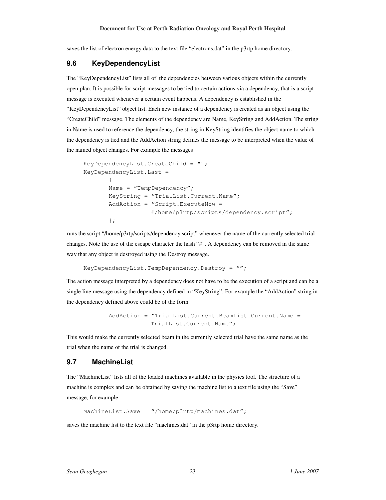saves the list of electron energy data to the text file "electrons.dat" in the p3rtp home directory.

# **9.6 KeyDependencyList**

The "KeyDependencyList" lists all of the dependencies between various objects within the currently open plan. It is possible for script messages to be tied to certain actions via a dependency, that is a script message is executed whenever a certain event happens. A dependency is established in the "KeyDependencyList" object list. Each new instance of a dependency is created as an object using the "CreateChild" message. The elements of the dependency are Name, KeyString and AddAction. The string in Name is used to reference the dependency, the string in KeyString identifies the object name to which the dependency is tied and the AddAction string defines the message to be interpreted when the value of the named object changes. For example the messages

```
KeyDependencyList.CreateChild = ""; 
KeyDependencyList.Last = 
\left\{ \begin{array}{cc} 0 & 0 & 0 \\ 0 & 0 & 0 \\ 0 & 0 & 0 \\ 0 & 0 & 0 \\ 0 & 0 & 0 \\ 0 & 0 & 0 \\ 0 & 0 & 0 \\ 0 & 0 & 0 \\ 0 & 0 & 0 \\ 0 & 0 & 0 \\ 0 & 0 & 0 \\ 0 & 0 & 0 & 0 \\ 0 & 0 & 0 & 0 \\ 0 & 0 & 0 & 0 \\ 0 & 0 & 0 & 0 & 0 \\ 0 & 0 & 0 & 0 & 0 \\ 0 & 0 & 0 & 0 & 0 \\ 0 & 0 & 0 & 0 & 0 \\ 0 & 0 & 0 & 0 & 0Name = "TempDependency";
                   KeyString = "TrialList.Current.Name"; 
                   AddAction = "Script.ExecuteNow = 
                                                  #/home/p3rtp/scripts/dependency.script"; 
                   };
```
runs the script "/home/p3rtp/scripts/dependency.script" whenever the name of the currently selected trial changes. Note the use of the escape character the hash "#". A dependency can be removed in the same way that any object is destroyed using the Destroy message.

```
KeyDependencyList.TempDependency.Destroy = "";
```
The action message interpreted by a dependency does not have to be the execution of a script and can be a single line message using the dependency defined in "KeyString". For example the "AddAction" string in the dependency defined above could be of the form

```
 AddAction = "TrialList.Current.BeamList.Current.Name = 
             TrialList.Current.Name";
```
This would make the currently selected beam in the currently selected trial have the same name as the trial when the name of the trial is changed.

# **9.7 MachineList**

The "MachineList" lists all of the loaded machines available in the physics tool. The structure of a machine is complex and can be obtained by saving the machine list to a text file using the "Save" message, for example

MachineList.Save =  $''/$ home/p3rtp/machines.dat";

saves the machine list to the text file "machines.dat" in the p3rtp home directory.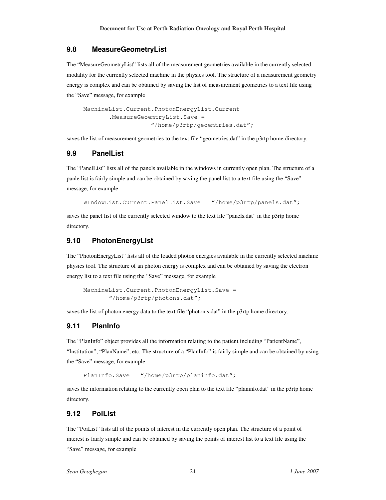# **9.8 MeasureGeometryList**

The "MeasureGeometryList" lists all of the measurement geometries available in the currently selected modality for the currently selected machine in the physics tool. The structure of a measurement geometry energy is complex and can be obtained by saving the list of measurement geometries to a text file using the "Save" message, for example

```
MachineList.Current.PhotonEnergyList.Current 
         .MeasureGeoemtryList.Save = 
                     "/home/p3rtp/geoemtries.dat";
```
saves the list of measurement geometries to the text file "geometries.dat" in the p3rtp home directory.

# **9.9 PanelList**

The "PanelList" lists all of the panels available in the windows in currently open plan. The structure of a panle list is fairly simple and can be obtained by saving the panel list to a text file using the "Save" message, for example

WIndowList.Current.PanelList.Save = "/home/p3rtp/panels.dat";

saves the panel list of the currently selected window to the text file "panels.dat" in the p3rtp home directory.

# **9.10 PhotonEnergyList**

The "PhotonEnergyList" lists all of the loaded photon energies available in the currently selected machine physics tool. The structure of an photon energy is complex and can be obtained by saving the electron energy list to a text file using the "Save" message, for example

```
MachineList.Current.PhotonEnergyList.Save = 
        "/home/p3rtp/photons.dat";
```
saves the list of photon energy data to the text file "photon s.dat" in the p3rtp home directory.

# **9.11 PlanInfo**

The "PlanInfo" object provides all the information relating to the patient including "PatientName", "Institution", "PlanName", etc. The structure of a "PlanInfo" is fairly simple and can be obtained by using the "Save" message, for example

PlanInfo.Save = "/home/p3rtp/planinfo.dat";

saves the information relating to the currently open plan to the text file "planinfo.dat" in the p3rtp home directory.

# **9.12 PoiList**

The "PoiList" lists all of the points of interest in the currently open plan. The structure of a point of interest is fairly simple and can be obtained by saving the points of interest list to a text file using the "Save" message, for example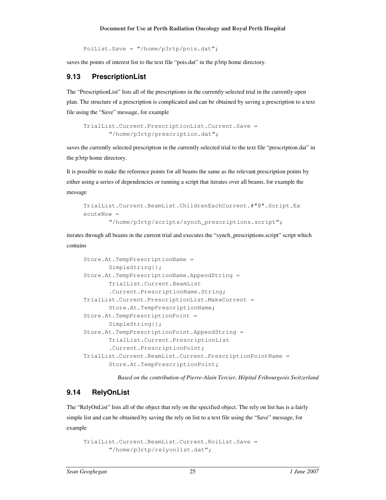PoiList.Save = "/home/p3rtp/pois.dat";

saves the points of interest list to the text file "pois.dat" in the p3rtp home directory.

#### **9.13 PrescriptionList**

The "PrescriptionList" lists all of the prescriptions in the currently selected trial in the currently open plan. The structure of a prescription is complicated and can be obtained by saving a prescription to a text file using the "Save" message, for example

TrialList.Current.PrescriptionList.Current.Save = "/home/p3rtp/prescription.dat";

saves the currently selected prescription in the currently selected trial to the text file "prescription.dat" in the p3rtp home directory.

It is possible to make the reference points for all beams the same as the relevant prescription points by either using a series of dependencies or running a script that iterates over all beams, for example the message

```
TrialList.Current.BeamList.ChildrenEachCurrent.#"@".Script.Ex
ecuteNow = 
        "/home/p3rtp/scripts/synch_prescriptions.script";
```
iterates through all beams in the current trial and executes the "synch\_prescriptions.script" script which contains

```
Store.At.TempPrescriptionName = 
       SimpleString{};
Store.At.TempPrescriptionName.AppendString = 
        TrialList.Current.BeamList 
        .Current.PrescriptionName.String; 
TrialList.Current.PrescriptionList.MakeCurrent = 
        Store.At.TempPrescriptionName; 
Store.At.TempPrescriptionPoint = 
       SimpleString{};
Store.At.TempPrescriptionPoint.AppendString = 
        TrialList.Current.PrescriptionList 
        .Current.PrescriptionPoint; 
TrialList.Current.BeamList.Current.PrescriptionPointName = 
        Store.At.TempPrescriptionPoint;
```
*Based on the contribution of Pierre-Alain Tercier, Hôpital Fribourgeois Switzerland* 

# **9.14 RelyOnList**

The "RelyOnList" lists all of the object that rely on the specified object. The rely on list has is a fairly simple list and can be obtained by saving the rely on list to a text file using the "Save" message, for example

```
TrialList.Current.BeamList.Current.RoiList.Save = 
        "/home/p3rtp/relyonlist.dat";
```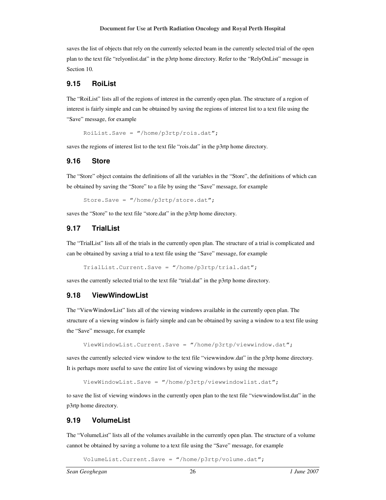saves the list of objects that rely on the currently selected beam in the currently selected trial of the open plan to the text file "relyonlist.dat" in the p3rtp home directory. Refer to the "RelyOnList" message in Section 10.

#### **9.15 RoiList**

The "RoiList" lists all of the regions of interest in the currently open plan. The structure of a region of interest is fairly simple and can be obtained by saving the regions of interest list to a text file using the "Save" message, for example

RoiList.Save = "/home/p3rtp/rois.dat";

saves the regions of interest list to the text file "rois.dat" in the p3rtp home directory.

#### **9.16 Store**

The "Store" object contains the definitions of all the variables in the "Store", the definitions of which can be obtained by saving the "Store" to a file by using the "Save" message, for example

Store.Save = "/home/p3rtp/store.dat";

saves the "Store" to the text file "store.dat" in the p3rtp home directory.

#### **9.17 TrialList**

The "TrialList" lists all of the trials in the currently open plan. The structure of a trial is complicated and can be obtained by saving a trial to a text file using the "Save" message, for example

TrialList.Current.Save = "/home/p3rtp/trial.dat";

saves the currently selected trial to the text file "trial.dat" in the p3rtp home directory.

#### **9.18 ViewWindowList**

The "ViewWindowList" lists all of the viewing windows available in the currently open plan. The structure of a viewing window is fairly simple and can be obtained by saving a window to a text file using the "Save" message, for example

ViewWindowList.Current.Save = "/home/p3rtp/viewwindow.dat";

saves the currently selected view window to the text file "viewwindow.dat" in the p3rtp home directory. It is perhaps more useful to save the entire list of viewing windows by using the message

```
ViewWindowList.Save = "/home/p3rtp/viewwindowlist.dat";
```
to save the list of viewing windows in the currently open plan to the text file "viewwindowlist.dat" in the p3rtp home directory.

#### **9.19 VolumeList**

The "VolumeList" lists all of the volumes available in the currently open plan. The structure of a volume cannot be obtained by saving a volume to a text file using the "Save" message, for example

VolumeList.Current.Save = "/home/p3rtp/volume.dat";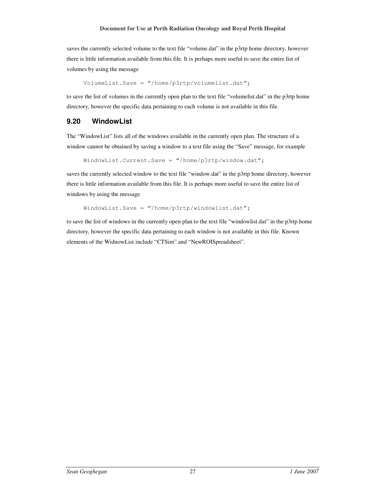saves the currently selected volume to the text file "volume.dat" in the p3rtp home directory, however there is little information available from this file. It is perhaps more useful to save the entire list of volumes by using the message

VolumeList.Save = "/home/p3rtp/volumelist.dat";

to save the list of volumes in the currently open plan to the text file "volumelist.dat" in the p3rtp home directory, however the specific data pertaining to each volume is not available in this file.

# **9.20 WindowList**

The "WindowList" lists all of the windows available in the currently open plan. The structure of a window cannot be obtained by saving a window to a text file using the "Save" message, for example

WindowList.Current.Save = "/home/p3rtp/window.dat";

saves the currently selected window to the text file "window.dat" in the p3rtp home directory, however there is little information available from this file. It is perhaps more useful to save the entire list of windows by using the message

WindowList.Save = "/home/p3rtp/windowlist.dat";

to save the list of windows in the currently open plan to the text file "windowlist.dat" in the p3rtp home directory, however the specific data pertaining to each window is not available in this file. Known elements of the WidnowList include "CTSim" and "NewROISpreadsheet".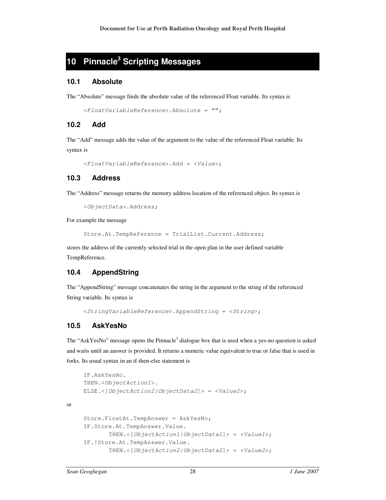# **10 Pinnacle<sup>3</sup> Scripting Messages**

#### **10.1 Absolute**

The "Absolute" message finds the absolute value of the referenced Float variable. Its syntax is

```
<FloatVariableReference>.Absolute = "";
```
#### **10.2 Add**

The "Add" message adds the value of the argument to the value of the referenced Float variable. Its syntax is

```
<FloatVariableReference>.Add = <Value>;
```
### **10.3 Address**

The "Address" message returns the memory address location of the referenced object. Its syntax is

```
<ObjectData>.Address;
```
For example the message

Store.At.TempReference = TrialList.Current.Address;

stores the address of the currently selected trial in the open plan in the user defined variable TempReference.

#### **10.4 AppendString**

The "AppendString" message concatenates the string in the argument to the string of the referenced String variable. Its syntax is

```
<StringVariableReference>.AppendString = <String>;
```
#### **10.5 AskYesNo**

The "AskYesNo" message opens the Pinnacle<sup>3</sup> dialogue box that is used when a yes-no question is asked and waits until an answer is provided. It returns a numeric value equivalent to true or false that is used in forks. Its usual syntax in an if-then-else statement is

```
IF.AskYesNo. 
THEN.<ObjectAction1>. 
ELSE.\langle[ObjectAction2|ObjectData2]> = \langleValue2>;
Store.FloatAt.TempAnswer = AskYesNo; 
IF.Store.At.TempAnswer.Value. 
         THEN.<[ObjectAction1|ObjectData1]> = <Value1>; 
IF.!Store.At.TempAnswer.Value. 
        THEN.\langle[ObjectAction2|ObjectData2]> = \langleValue2>;
```
or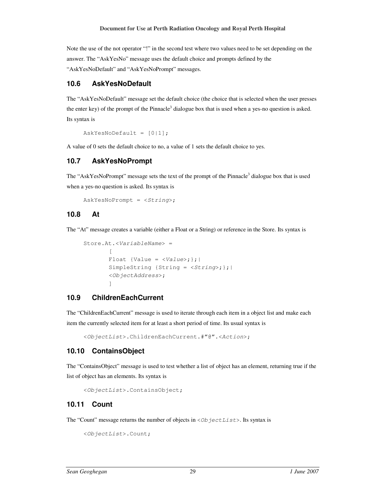Note the use of the not operator "!" in the second test where two values need to be set depending on the answer. The "AskYesNo" message uses the default choice and prompts defined by the "AskYesNoDefault" and "AskYesNoPrompt" messages.

#### **10.6 AskYesNoDefault**

The "AskYesNoDefault" message set the default choice (the choice that is selected when the user presses the enter key) of the prompt of the Pinnacle<sup>3</sup> dialogue box that is used when a yes-no question is asked. Its syntax is

 $AskYesNoDefault = [0|1];$ 

A value of 0 sets the default choice to no, a value of 1 sets the default choice to yes.

#### **10.7 AskYesNoPrompt**

The "AskYesNoPrompt" message sets the text of the prompt of the Pinnacle<sup>3</sup> dialogue box that is used when a yes-no question is asked. Its syntax is

 $AskYesNoFrompt = «String~;$ 

#### **10.8 At**

The "At" message creates a variable (either a Float or a String) or reference in the Store. Its syntax is

```
Store.At.<VariableName> = 
\mathbb{R}^n and \mathbb{R}^nFloat {Value = \langle Value \rangle; };
         SimpleString {String = <String>;};|
          <ObjectAddress>; 
 ]
```
#### **10.9 ChildrenEachCurrent**

The "ChildrenEachCurrent" message is used to iterate through each item in a object list and make each item the currently selected item for at least a short period of time. Its usual syntax is

<ObjectList>.ChildrenEachCurrent.#"@".<Action>;

#### **10.10 ContainsObject**

The "ContainsObject" message is used to test whether a list of object has an element, returning true if the list of object has an elements. Its syntax is

```
<ObjectList>.ContainsObject;
```
#### **10.11 Count**

The "Count" message returns the number of objects in  $\langle \text{ObjectList}\rangle$ . Its syntax is

```
<ObjectList>.Count;
```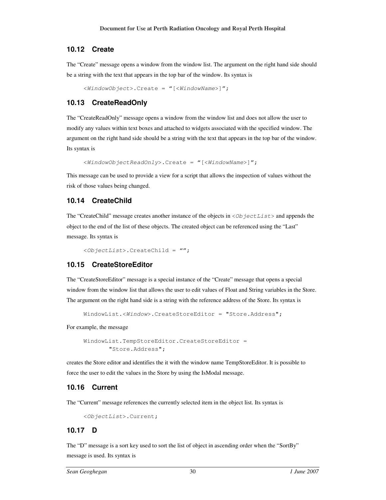### **10.12 Create**

The "Create" message opens a window from the window list. The argument on the right hand side should be a string with the text that appears in the top bar of the window. Its syntax is

<WindowObject>.Create = "[<WindowName>]";

# **10.13 CreateReadOnly**

The "CreateReadOnly" message opens a window from the window list and does not allow the user to modify any values within text boxes and attached to widgets associated with the specified window. The argument on the right hand side should be a string with the text that appears in the top bar of the window. Its syntax is

```
<WindowObjectReadOnly>.Create = "[<WindowName>]";
```
This message can be used to provide a view for a script that allows the inspection of values without the risk of those values being changed.

# **10.14 CreateChild**

The "CreateChild" message creates another instance of the objects in  $\langle \text{ObjectList}\rangle$  and appends the object to the end of the list of these objects. The created object can be referenced using the "Last" message. Its syntax is

```
<ObjectList>.CreateChild = "";
```
# **10.15 CreateStoreEditor**

The "CreateStoreEditor" message is a special instance of the "Create" message that opens a special window from the window list that allows the user to edit values of Float and String variables in the Store. The argument on the right hand side is a string with the reference address of the Store. Its syntax is

```
WindowList.<Window>.CreateStoreEditor = "Store.Address";
```
For example, the message

```
WindowList.TempStoreEditor.CreateStoreEditor = 
        "Store.Address";
```
creates the Store editor and identifies the it with the window name TempStoreEditor. It is possible to force the user to edit the values in the Store by using the IsModal message.

# **10.16 Current**

The "Current" message references the currently selected item in the object list. Its syntax is

```
<ObjectList>.Current;
```
# **10.17 D**

The "D" message is a sort key used to sort the list of object in ascending order when the "SortBy" message is used. Its syntax is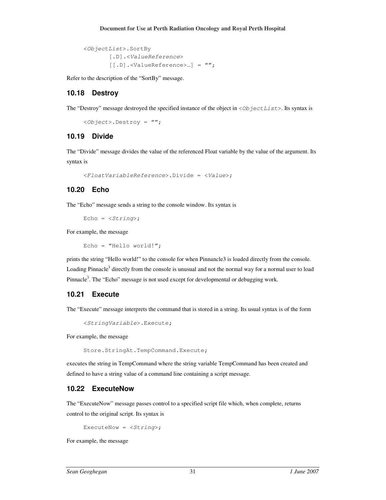```
<ObjectList>.SortBy 
       [.D].<ValueReference>
        [[.D].<ValueReference>…] = "";
```
Refer to the description of the "SortBy" message.

#### **10.18 Destroy**

The "Destroy" message destroyed the specified instance of the object in  $\langle Ob\right]$  jectlists. Its syntax is

```
<Object>.Destroy = "";
```
#### **10.19 Divide**

The "Divide" message divides the value of the referenced Float variable by the value of the argument. Its syntax is

```
<FloatVariableReference>.Divide = <Value>;
```
#### **10.20 Echo**

The "Echo" message sends a string to the console window. Its syntax is

```
Echo = \langle String \rangle;
```
For example, the message

Echo = "Hello world!";

prints the string "Hello world!" to the console for when Pinnancle3 is loaded directly from the console. Loading Pinnacle<sup>3</sup> directly from the console is unusual and not the normal way for a normal user to load Pinnacle<sup>3</sup>. The "Echo" message is not used except for developmental or debugging work.

#### **10.21 Execute**

The "Execute" message interprets the command that is stored in a string. Its usual syntax is of the form

```
<StringVariable>.Execute;
```
For example, the message

Store.StringAt.TempCommand.Execute;

executes the string in TempCommand where the string variable TempCommand has been created and defined to have a string value of a command line containing a script message.

#### **10.22 ExecuteNow**

The "ExecuteNow" message passes control to a specified script file which, when complete, returns control to the original script. Its syntax is

```
ExecuteNow = \langle \text{String} \rangle;
```
For example, the message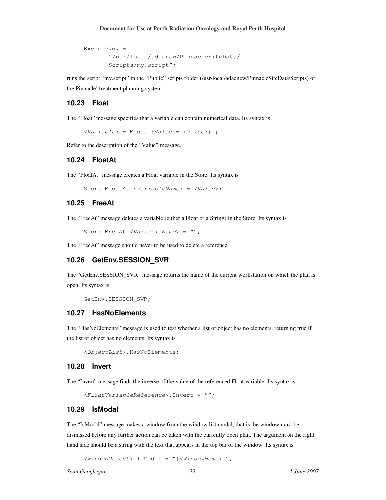```
ExecuteNow = 
        "/usr/local/adacnew/PinnacleSiteData/ 
        Scripts/my.script";
```
runs the script "my.script" in the "Public" scripts folder (/usr/local/adacnew/PinnacleSiteData/Scripts) of the Pinnacle<sup>3</sup> treatment planning system.

#### **10.23 Float**

The "Float" message specifies that a variable can contain numerical data. Its syntax is

 $\langle \text{Variable} \rangle = \text{Float}$  {Value =  $\langle \text{Value} \rangle$  ;

Refer to the description of the "Value" message.

#### **10.24 FloatAt**

The "FloatAt" message creates a Float variable in the Store. Its syntax is

```
Store.FloatAt.<VariableName> = <Value>;
```
#### **10.25 FreeAt**

The "FreeAt" message deletes a variable (either a Float or a String) in the Store. Its syntax is

```
Store.FreeAt.<VariableName> = "";
```
The "FreeAt" message should never to be used to delete a reference.

#### **10.26 GetEnv.SESSION\_SVR**

The "GetEnv.SESSION\_SVR" message returns the name of the current workstation on which the plan is open. Its syntax is

```
GetEnv.SESSION_SVR;
```
#### **10.27 HasNoElements**

The "HasNoElements" message is used to test whether a list of object has no elements, returning true if the list of object has no elements. Its syntax is

<ObjectList>.HasNoElements;

#### **10.28 Invert**

The "Invert" message finds the inverse of the value of the referenced Float variable. Its syntax is

```
<FloatVariableReference>.Invert = "";
```
#### **10.29 IsModal**

The "IsModal" message makes a window from the window list modal, that is the window must be dismissed before any further action can be taken with the currently open plan. The argument on the right hand side should be a string with the text that appears in the top bar of the window. Its syntax is

<WindowObject>.IsModal = "[<WindowName>]";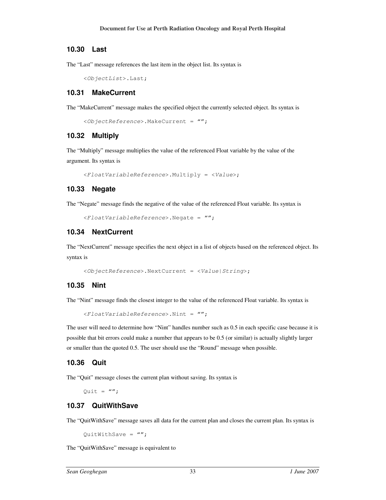#### **10.30 Last**

The "Last" message references the last item in the object list. Its syntax is

```
<ObjectList>.Last;
```
#### **10.31 MakeCurrent**

The "MakeCurrent" message makes the specified object the currently selected object. Its syntax is

<ObjectReference>.MakeCurrent = "";

#### **10.32 Multiply**

The "Multiply" message multiplies the value of the referenced Float variable by the value of the argument. Its syntax is

```
<FloatVariableReference>.Multiply = <Value>;
```
#### **10.33 Negate**

The "Negate" message finds the negative of the value of the referenced Float variable. Its syntax is

```
<FloatVariableReference>.Negate = "";
```
#### **10.34 NextCurrent**

The "NextCurrent" message specifies the next object in a list of objects based on the referenced object. Its syntax is

```
<ObjectReference>.NextCurrent = <Value|String>;
```
#### **10.35 Nint**

The "Nint" message finds the closest integer to the value of the referenced Float variable. Its syntax is

```
<FloatVariableReference>.Nint = "";
```
The user will need to determine how "Nint" handles number such as 0.5 in each specific case because it is possible that bit errors could make a number that appears to be 0.5 (or similar) is actually slightly larger or smaller than the quoted 0.5. The user should use the "Round" message when possible.

#### **10.36 Quit**

The "Quit" message closes the current plan without saving. Its syntax is

 $0$ uit =  $''$ ;

#### **10.37 QuitWithSave**

The "QuitWithSave" message saves all data for the current plan and closes the current plan. Its syntax is

QuitWithSave =  $''''$ ;

The "QuitWithSave" message is equivalent to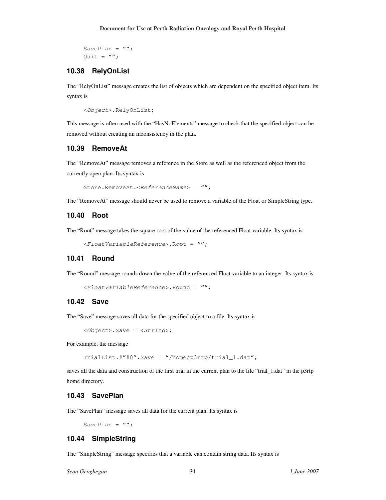SavePlan =  $''''$ ; Ouit =  $''''$ ;

# **10.38 RelyOnList**

The "RelyOnList" message creates the list of objects which are dependent on the specified object item. Its syntax is

```
<Object>.RelyOnList;
```
This message is often used with the "HasNoElements" message to check that the specified object can be removed without creating an inconsistency in the plan.

#### **10.39 RemoveAt**

The "RemoveAt" message removes a reference in the Store as well as the referenced object from the currently open plan. Its syntax is

```
Store.RemoveAt.<ReferenceName> = "";
```
The "RemoveAt" message should never be used to remove a variable of the Float or SimpleString type.

# **10.40 Root**

The "Root" message takes the square root of the value of the referenced Float variable. Its syntax is

```
<FloatVariableReference>.Root = "";
```
# **10.41 Round**

The "Round" message rounds down the value of the referenced Float variable to an integer. Its syntax is

```
<FloatVariableReference>.Round = "";
```
# **10.42 Save**

The "Save" message saves all data for the specified object to a file. Its syntax is

 $\langle$ Object>.Save =  $\langle$ String>;

For example, the message

TrialList.#"#0".Save = "/home/p3rtp/trial\_1.dat";

saves all the data and construction of the first trial in the current plan to the file "trial\_1.dat" in the p3rtp home directory.

# **10.43 SavePlan**

The "SavePlan" message saves all data for the current plan. Its syntax is

SavePlan =  $''''$ ;

# **10.44 SimpleString**

The "SimpleString" message specifies that a variable can contain string data. Its syntax is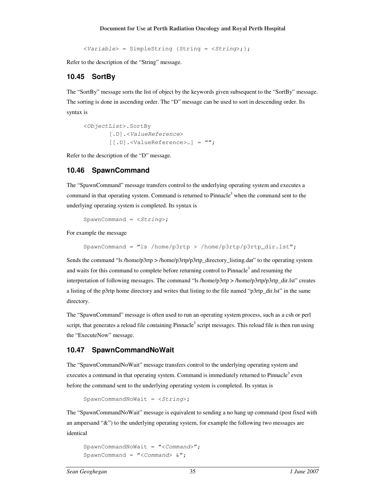<Variable> = SimpleString {String = <String>;};

Refer to the description of the "String" message.

#### **10.45 SortBy**

The "SortBy" message sorts the list of object by the keywords given subsequent to the "SortBy" message. The sorting is done in ascending order. The "D" message can be used to sort in descending order. Its syntax is

<ObjectList>.SortBy [.D].<ValueReference> [[.D].<ValueReference>…] = "";

Refer to the description of the "D" message.

#### **10.46 SpawnCommand**

The "SpawnCommand" message transfers control to the underlying operating system and executes a command in that operating system. Command is returned to Pinnacle<sup>3</sup> when the command sent to the underlying operating system is completed. Its syntax is

 $SpawnCommand = ;$ 

For example the message

```
SpawnCommand = "ls /home/p3rtp > /home/p3rtp/p3rtp_dir.lst";
```
Sends the command "ls /home/p3rtp > /home/p3rtp/p3rtp directory listing.dat" to the operating system and waits for this command to complete before returning control to Pinnacle<sup>3</sup> and resuming the interpretation of following messages. The command "ls /home/p3rtp > /home/p3rtp/p3rtp\_dir.lst" creates a listing of the p3rtp home directory and writes that listing to the file named "p3rtp\_dir.lst" in the same directory.

The "SpawnCommand" message is often used to run an operating system process, such as a csh or perl script, that generates a reload file containing Pinnacle<sup>3</sup> script messages. This reload file is then run using the "ExecuteNow" message.

#### **10.47 SpawnCommandNoWait**

The "SpawnCommandNoWait" message transfers control to the underlying operating system and executes a command in that operating system. Command is immediately returned to Pinnacle<sup>3</sup> even before the command sent to the underlying operating system is completed. Its syntax is

```
SpawnCommandNoWait = \langle String \rangle;
```
The "SpawnCommandNoWait" message is equivalent to sending a no hang up command (post fixed with an ampersand "&") to the underlying operating system, for example the following two messages are identical

```
SpawnCommandNoWait = "<Command>";
SpawnCommand = "<Command> \&";
```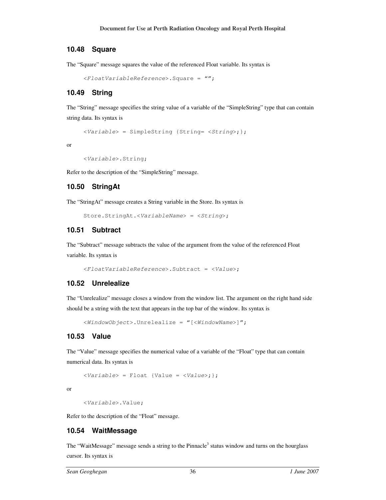#### **10.48 Square**

The "Square" message squares the value of the referenced Float variable. Its syntax is

```
<FloatVariableReference>.Square = "";
```
#### **10.49 String**

The "String" message specifies the string value of a variable of the "SimpleString" type that can contain string data. Its syntax is

<Variable> = SimpleString {String= <String>;};

or

```
<Variable>.String;
```
Refer to the description of the "SimpleString" message.

#### **10.50 StringAt**

The "StringAt" message creates a String variable in the Store. Its syntax is

Store.StringAt.<VariableName> = <String>;

#### **10.51 Subtract**

The "Subtract" message subtracts the value of the argument from the value of the referenced Float variable. Its syntax is

```
<FloatVariableReference>.Subtract = <Value>;
```
#### **10.52 Unrelealize**

The "Unrelealize" message closes a window from the window list. The argument on the right hand side should be a string with the text that appears in the top bar of the window. Its syntax is

<WindowObject>.Unrelealize = "[<WindowName>]";

#### **10.53 Value**

The "Value" message specifies the numerical value of a variable of the "Float" type that can contain numerical data. Its syntax is

<Variable> = Float {Value = <Value>;};

or

```
<Variable>.Value;
```
Refer to the description of the "Float" message.

#### **10.54 WaitMessage**

The "WaitMessage" message sends a string to the Pinnacle<sup>3</sup> status window and turns on the hourglass cursor. Its syntax is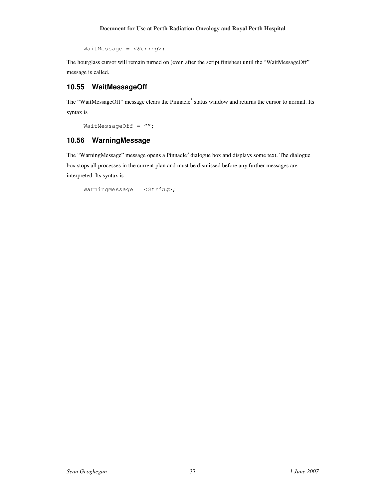WaitMessage = <String>;

The hourglass cursor will remain turned on (even after the script finishes) until the "WaitMessageOff" message is called.

# **10.55 WaitMessageOff**

The "WaitMessageOff" message clears the Pinnacle<sup>3</sup> status window and returns the cursor to normal. Its syntax is

WaitMessageOff =  $''''$ ;

# **10.56 WarningMessage**

The "WarningMessage" message opens a Pinnacle<sup>3</sup> dialogue box and displays some text. The dialogue box stops all processes in the current plan and must be dismissed before any further messages are interpreted. Its syntax is

```
WarningMessage = \langle String \rangle;
```